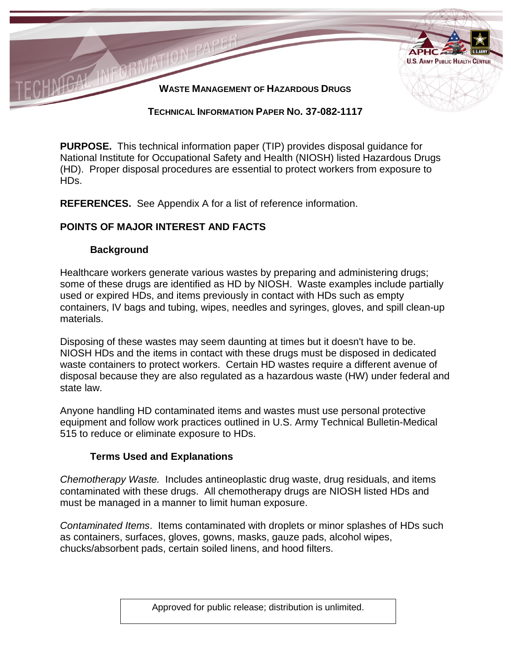

#### **TECHNICAL INFORMATION PAPER NO. 37-082-1117**

**PURPOSE.** This technical information paper (TIP) provides disposal guidance for National Institute for Occupational Safety and Health (NIOSH) listed Hazardous Drugs (HD). Proper disposal procedures are essential to protect workers from exposure to HDs.

**REFERENCES.** See Appendix A for a list of reference information.

## **POINTS OF MAJOR INTEREST AND FACTS**

#### **Background**

Healthcare workers generate various wastes by preparing and administering drugs; some of these drugs are identified as HD by NIOSH. Waste examples include partially used or expired HDs, and items previously in contact with HDs such as empty containers, IV bags and tubing, wipes, needles and syringes, gloves, and spill clean-up materials.

Disposing of these wastes may seem daunting at times but it doesn't have to be. NIOSH HDs and the items in contact with these drugs must be disposed in dedicated waste containers to protect workers. Certain HD wastes require a different avenue of disposal because they are also regulated as a hazardous waste (HW) under federal and state law.

Anyone handling HD contaminated items and wastes must use personal protective equipment and follow work practices outlined in U.S. Army Technical Bulletin-Medical 515 to reduce or eliminate exposure to HDs.

### **Terms Used and Explanations**

*Chemotherapy Waste.* Includes antineoplastic drug waste, drug residuals, and items contaminated with these drugs. All chemotherapy drugs are NIOSH listed HDs and must be managed in a manner to limit human exposure.

*Contaminated Items*. Items contaminated with droplets or minor splashes of HDs such as containers, surfaces, gloves, gowns, masks, gauze pads, alcohol wipes, chucks/absorbent pads, certain soiled linens, and hood filters.

Approved for public release; distribution is unlimited.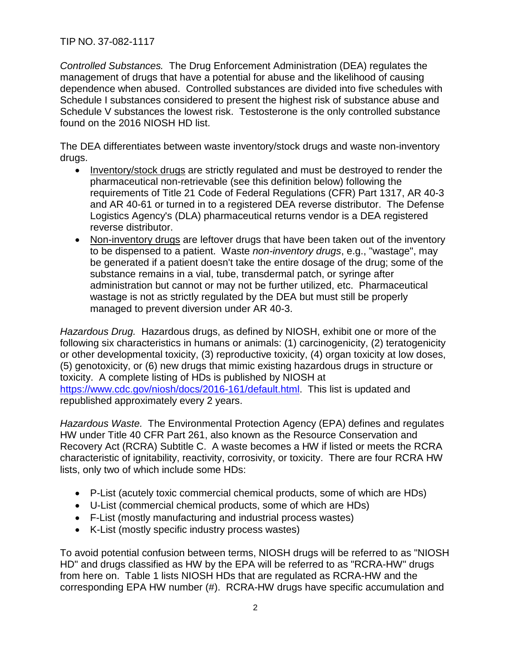TIP NO. 37-082-1117

*Controlled Substances.* The Drug Enforcement Administration (DEA) regulates the management of drugs that have a potential for abuse and the likelihood of causing dependence when abused. Controlled substances are divided into five schedules with Schedule I substances considered to present the highest risk of substance abuse and Schedule V substances the lowest risk. Testosterone is the only controlled substance found on the 2016 NIOSH HD list.

The DEA differentiates between waste inventory/stock drugs and waste non-inventory drugs.

- Inventory/stock drugs are strictly regulated and must be destroyed to render the pharmaceutical non-retrievable (see this definition below) following the requirements of Title 21 Code of Federal Regulations (CFR) Part 1317, AR 40-3 and AR 40-61 or turned in to a registered DEA reverse distributor. The Defense Logistics Agency's (DLA) pharmaceutical returns vendor is a DEA registered reverse distributor.
- Non-inventory drugs are leftover drugs that have been taken out of the inventory to be dispensed to a patient. Waste *non-inventory drugs*, e.g., "wastage", may be generated if a patient doesn't take the entire dosage of the drug; some of the substance remains in a vial, tube, transdermal patch, or syringe after administration but cannot or may not be further utilized, etc. Pharmaceutical wastage is not as strictly regulated by the DEA but must still be properly managed to prevent diversion under AR 40-3.

*Hazardous Drug.* Hazardous drugs, as defined by NIOSH, exhibit one or more of the following six characteristics in humans or animals: (1) carcinogenicity, (2) teratogenicity or other developmental toxicity, (3) reproductive toxicity, (4) organ toxicity at low doses, (5) genotoxicity, or (6) new drugs that mimic existing hazardous drugs in structure or toxicity. A complete listing of HDs is published by NIOSH at [https://www.cdc.gov/niosh/docs/2016-161/default.html.](https://www.cdc.gov/niosh/docs/2016-161/default.html) This list is updated and republished approximately every 2 years.

*Hazardous Waste.* The Environmental Protection Agency (EPA) defines and regulates HW under Title 40 CFR Part 261, also known as the Resource Conservation and Recovery Act (RCRA) Subtitle C. A waste becomes a HW if listed or meets the RCRA characteristic of ignitability, reactivity, corrosivity, or toxicity. There are four RCRA HW lists, only two of which include some HDs:

- P-List (acutely toxic commercial chemical products, some of which are HDs)
- U-List (commercial chemical products, some of which are HDs)
- F-List (mostly manufacturing and industrial process wastes)
- K-List (mostly specific industry process wastes)

To avoid potential confusion between terms, NIOSH drugs will be referred to as "NIOSH HD" and drugs classified as HW by the EPA will be referred to as "RCRA-HW" drugs from here on. Table 1 lists NIOSH HDs that are regulated as RCRA-HW and the corresponding EPA HW number (#). RCRA-HW drugs have specific accumulation and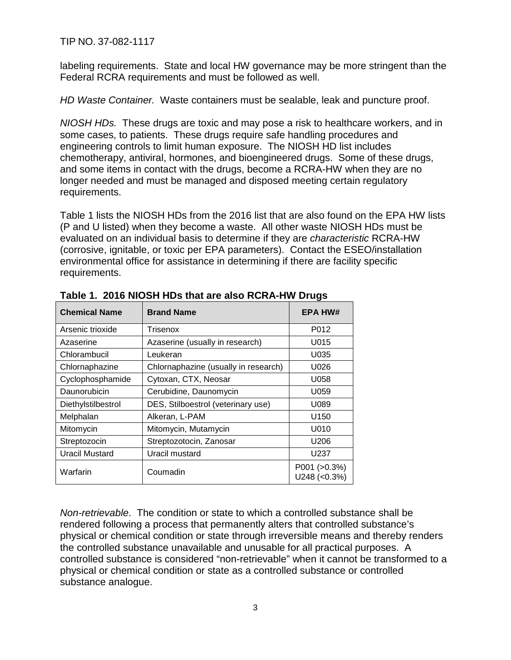TIP NO. 37-082-1117

labeling requirements. State and local HW governance may be more stringent than the Federal RCRA requirements and must be followed as well.

*HD Waste Container.* Waste containers must be sealable, leak and puncture proof.

*NIOSH HDs.* These drugs are toxic and may pose a risk to healthcare workers, and in some cases, to patients. These drugs require safe handling procedures and engineering controls to limit human exposure. The NIOSH HD list includes chemotherapy, antiviral, hormones, and bioengineered drugs. Some of these drugs, and some items in contact with the drugs, become a RCRA-HW when they are no longer needed and must be managed and disposed meeting certain regulatory requirements.

Table 1 lists the NIOSH HDs from the 2016 list that are also found on the EPA HW lists (P and U listed) when they become a waste. All other waste NIOSH HDs must be evaluated on an individual basis to determine if they are *characteristic* RCRA-HW (corrosive, ignitable, or toxic per EPA parameters). Contact the ESEO/installation environmental office for assistance in determining if there are facility specific requirements.

| <b>Chemical Name</b> | <b>Brand Name</b>                    | <b>EPA HW#</b>                 |
|----------------------|--------------------------------------|--------------------------------|
| Arsenic trioxide     | Trisenox                             | P012                           |
| Azaserine            | Azaserine (usually in research)      | U015                           |
| Chlorambucil         | Leukeran                             | U035                           |
| Chlornaphazine       | Chlornaphazine (usually in research) | U026                           |
| Cyclophosphamide     | Cytoxan, CTX, Neosar                 | U058                           |
| Daunorubicin         | Cerubidine, Daunomycin               | U059                           |
| Diethylstilbestrol   | DES, Stilboestrol (veterinary use)   | U089                           |
| Melphalan            | Alkeran, L-PAM                       | U <sub>150</sub>               |
| Mitomycin            | Mitomycin, Mutamycin                 | U010                           |
| Streptozocin         | Streptozotocin, Zanosar              | U <sub>206</sub>               |
| Uracil Mustard       | Uracil mustard                       | U237                           |
| Warfarin             | Coumadin                             | P001 (>0.3%)<br>$U248$ (<0.3%) |

**Table 1. 2016 NIOSH HDs that are also RCRA-HW Drugs**

*Non-retrievable*. The condition or state to which a controlled substance shall be rendered following a process that permanently alters that controlled substance's physical or chemical condition or state through irreversible means and thereby renders the controlled substance unavailable and unusable for all practical purposes. A controlled substance is considered "non-retrievable" when it cannot be transformed to a physical or chemical condition or state as a controlled substance or controlled substance analogue.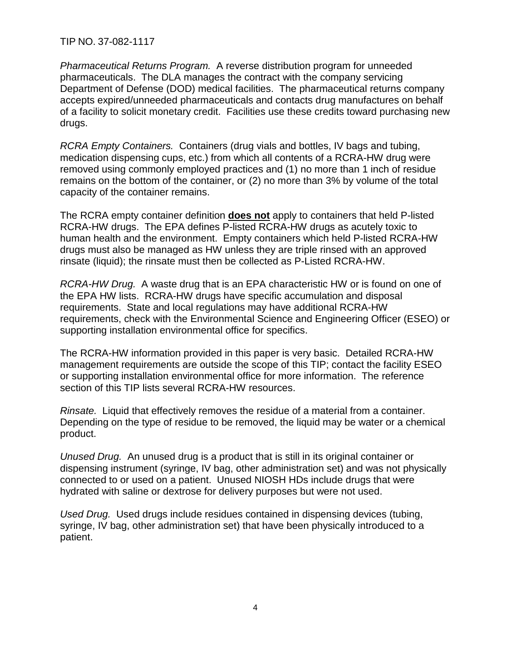TIP NO. 37-082-1117

*Pharmaceutical Returns Program.* A reverse distribution program for unneeded pharmaceuticals. The DLA manages the contract with the company servicing Department of Defense (DOD) medical facilities. The pharmaceutical returns company accepts expired/unneeded pharmaceuticals and contacts drug manufactures on behalf of a facility to solicit monetary credit. Facilities use these credits toward purchasing new drugs.

*RCRA Empty Containers.* Containers (drug vials and bottles, IV bags and tubing, medication dispensing cups, etc.) from which all contents of a RCRA-HW drug were removed using commonly employed practices and (1) no more than 1 inch of residue remains on the bottom of the container, or (2) no more than 3% by volume of the total capacity of the container remains.

The RCRA empty container definition **does not** apply to containers that held P-listed RCRA-HW drugs. The EPA defines P-listed RCRA-HW drugs as acutely toxic to human health and the environment. Empty containers which held P-listed RCRA-HW drugs must also be managed as HW unless they are triple rinsed with an approved rinsate (liquid); the rinsate must then be collected as P-Listed RCRA-HW.

*RCRA-HW Drug.* A waste drug that is an EPA characteristic HW or is found on one of the EPA HW lists. RCRA-HW drugs have specific accumulation and disposal requirements. State and local regulations may have additional RCRA-HW requirements, check with the Environmental Science and Engineering Officer (ESEO) or supporting installation environmental office for specifics.

The RCRA-HW information provided in this paper is very basic. Detailed RCRA-HW management requirements are outside the scope of this TIP; contact the facility ESEO or supporting installation environmental office for more information. The reference section of this TIP lists several RCRA-HW resources.

*Rinsate.* Liquid that effectively removes the residue of a material from a container. Depending on the type of residue to be removed, the liquid may be water or a chemical product.

*Unused Drug.* An unused drug is a product that is still in its original container or dispensing instrument (syringe, IV bag, other administration set) and was not physically connected to or used on a patient. Unused NIOSH HDs include drugs that were hydrated with saline or dextrose for delivery purposes but were not used.

*Used Drug.* Used drugs include residues contained in dispensing devices (tubing, syringe, IV bag, other administration set) that have been physically introduced to a patient.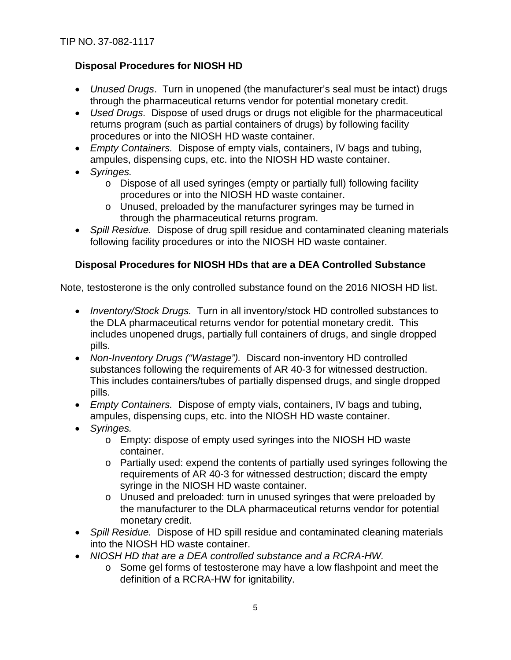# **Disposal Procedures for NIOSH HD**

- *Unused Drugs*. Turn in unopened (the manufacturer's seal must be intact) drugs through the pharmaceutical returns vendor for potential monetary credit.
- *Used Drugs.* Dispose of used drugs or drugs not eligible for the pharmaceutical returns program (such as partial containers of drugs) by following facility procedures or into the NIOSH HD waste container.
- *Empty Containers.* Dispose of empty vials, containers, IV bags and tubing, ampules, dispensing cups, etc. into the NIOSH HD waste container.
- *Syringes.*
	- o Dispose of all used syringes (empty or partially full) following facility procedures or into the NIOSH HD waste container.
	- o Unused, preloaded by the manufacturer syringes may be turned in through the pharmaceutical returns program.
- *Spill Residue.* Dispose of drug spill residue and contaminated cleaning materials following facility procedures or into the NIOSH HD waste container.

## **Disposal Procedures for NIOSH HDs that are a DEA Controlled Substance**

Note, testosterone is the only controlled substance found on the 2016 NIOSH HD list.

- *Inventory/Stock Drugs.* Turn in all inventory/stock HD controlled substances to the DLA pharmaceutical returns vendor for potential monetary credit. This includes unopened drugs, partially full containers of drugs, and single dropped pills.
- *Non-Inventory Drugs ("Wastage").* Discard non-inventory HD controlled substances following the requirements of AR 40-3 for witnessed destruction. This includes containers/tubes of partially dispensed drugs, and single dropped pills.
- *Empty Containers.* Dispose of empty vials, containers, IV bags and tubing, ampules, dispensing cups, etc. into the NIOSH HD waste container.
- *Syringes.*
	- o Empty: dispose of empty used syringes into the NIOSH HD waste container.
	- o Partially used: expend the contents of partially used syringes following the requirements of AR 40-3 for witnessed destruction; discard the empty syringe in the NIOSH HD waste container.
	- o Unused and preloaded: turn in unused syringes that were preloaded by the manufacturer to the DLA pharmaceutical returns vendor for potential monetary credit.
- *Spill Residue.* Dispose of HD spill residue and contaminated cleaning materials into the NIOSH HD waste container.
- *NIOSH HD that are a DEA controlled substance and a RCRA-HW.* 
	- o Some gel forms of testosterone may have a low flashpoint and meet the definition of a RCRA-HW for ignitability.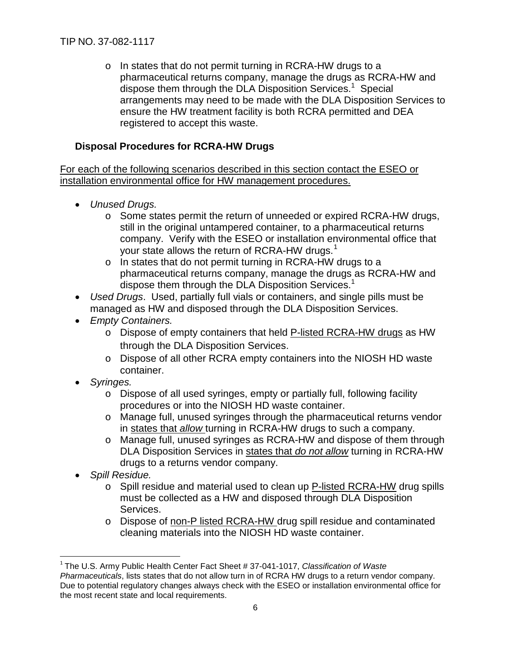o In states that do not permit turning in RCRA-HW drugs to a pharmaceutical returns company, manage the drugs as RCRA-HW and dispose them through the DLA Disposition Services.<sup>1</sup> Special arrangements may need to be made with the DLA Disposition Services to ensure the HW treatment facility is both RCRA permitted and DEA registered to accept this waste.

# **Disposal Procedures for RCRA-HW Drugs**

For each of the following scenarios described in this section contact the ESEO or installation environmental office for HW management procedures.

- *Unused Drugs.*
	- o Some states permit the return of unneeded or expired RCRA-HW drugs, still in the original untampered container, to a pharmaceutical returns company. Verify with the ESEO or installation environmental office that your state allows the return of RCRA-HW drugs.<sup>[1](#page-5-0)</sup>
	- o In states that do not permit turning in RCRA-HW drugs to a pharmaceutical returns company, manage the drugs as RCRA-HW and dispose them through the DLA Disposition Services.<sup>1</sup>
- *Used Drugs*. Used, partially full vials or containers, and single pills must be managed as HW and disposed through the DLA Disposition Services.
- *Empty Containers.*
	- o Dispose of empty containers that held P-listed RCRA-HW drugs as HW through the DLA Disposition Services.
	- o Dispose of all other RCRA empty containers into the NIOSH HD waste container.
- *Syringes.*
	- o Dispose of all used syringes, empty or partially full, following facility procedures or into the NIOSH HD waste container.
	- o Manage full, unused syringes through the pharmaceutical returns vendor in states that *allow* turning in RCRA-HW drugs to such a company.
	- o Manage full, unused syringes as RCRA-HW and dispose of them through DLA Disposition Services in states that *do not allow* turning in RCRA-HW drugs to a returns vendor company.
- *Spill Residue.*
	- o Spill residue and material used to clean up P-listed RCRA-HW drug spills must be collected as a HW and disposed through DLA Disposition Services.
	- o Dispose of non-P listed RCRA-HW drug spill residue and contaminated cleaning materials into the NIOSH HD waste container.

<span id="page-5-0"></span> <sup>1</sup> The U.S. Army Public Health Center Fact Sheet # 37-041-1017, *Classification of Waste Pharmaceuticals*, lists states that do not allow turn in of RCRA HW drugs to a return vendor company. Due to potential regulatory changes always check with the ESEO or installation environmental office for the most recent state and local requirements.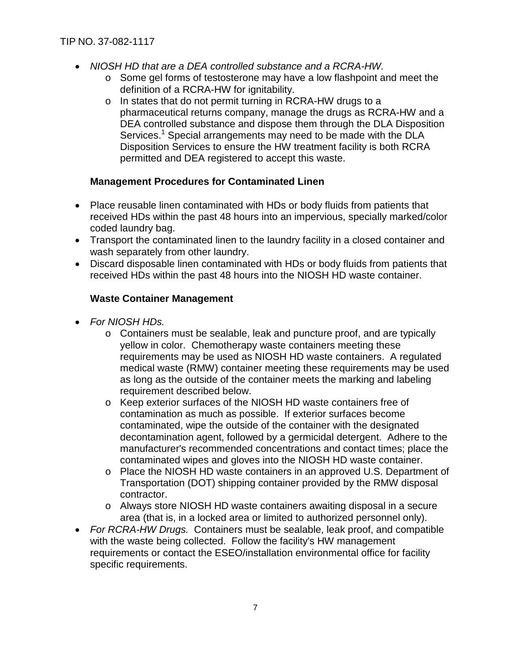- *NIOSH HD that are a DEA controlled substance and a RCRA-HW.* 
	- o Some gel forms of testosterone may have a low flashpoint and meet the definition of a RCRA-HW for ignitability.
	- o In states that do not permit turning in RCRA-HW drugs to a pharmaceutical returns company, manage the drugs as RCRA-HW and a DEA controlled substance and dispose them through the DLA Disposition Services.<sup>1</sup> Special arrangements may need to be made with the DLA Disposition Services to ensure the HW treatment facility is both RCRA permitted and DEA registered to accept this waste.

### **Management Procedures for Contaminated Linen**

- Place reusable linen contaminated with HDs or body fluids from patients that received HDs within the past 48 hours into an impervious, specially marked/color coded laundry bag.
- Transport the contaminated linen to the laundry facility in a closed container and wash separately from other laundry.
- Discard disposable linen contaminated with HDs or body fluids from patients that received HDs within the past 48 hours into the NIOSH HD waste container.

### **Waste Container Management**

- *For NIOSH HDs.* 
	- o Containers must be sealable, leak and puncture proof, and are typically yellow in color. Chemotherapy waste containers meeting these requirements may be used as NIOSH HD waste containers. A regulated medical waste (RMW) container meeting these requirements may be used as long as the outside of the container meets the marking and labeling requirement described below.
	- o Keep exterior surfaces of the NIOSH HD waste containers free of contamination as much as possible. If exterior surfaces become contaminated, wipe the outside of the container with the designated decontamination agent, followed by a germicidal detergent. Adhere to the manufacturer's recommended concentrations and contact times; place the contaminated wipes and gloves into the NIOSH HD waste container.
	- o Place the NIOSH HD waste containers in an approved U.S. Department of Transportation (DOT) shipping container provided by the RMW disposal contractor.
	- o Always store NIOSH HD waste containers awaiting disposal in a secure area (that is, in a locked area or limited to authorized personnel only).
- *For RCRA-HW Drugs.* Containers must be sealable, leak proof, and compatible with the waste being collected. Follow the facility's HW management requirements or contact the ESEO/installation environmental office for facility specific requirements.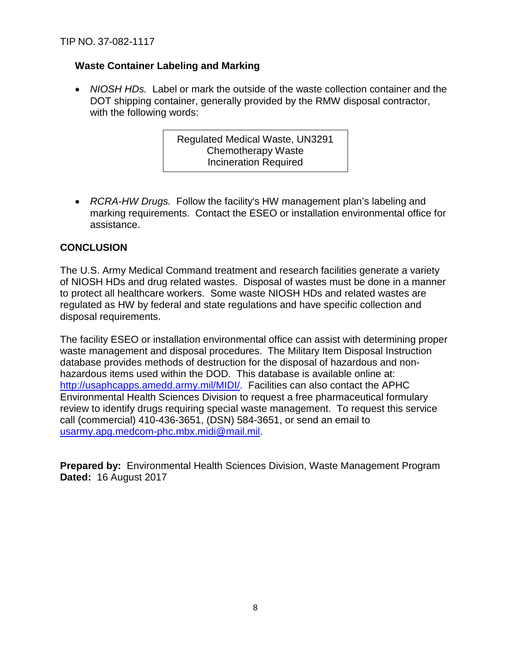# **Waste Container Labeling and Marking**

• *NIOSH HDs.* Label or mark the outside of the waste collection container and the DOT shipping container, generally provided by the RMW disposal contractor, with the following words:

> Regulated Medical Waste, UN3291 Chemotherapy Waste Incineration Required

• *RCRA-HW Drugs.* Follow the facility's HW management plan's labeling and marking requirements. Contact the ESEO or installation environmental office for assistance.

## **CONCLUSION**

The U.S. Army Medical Command treatment and research facilities generate a variety of NIOSH HDs and drug related wastes. Disposal of wastes must be done in a manner to protect all healthcare workers. Some waste NIOSH HDs and related wastes are regulated as HW by federal and state regulations and have specific collection and disposal requirements.

The facility ESEO or installation environmental office can assist with determining proper waste management and disposal procedures. The Military Item Disposal Instruction database provides methods of destruction for the disposal of hazardous and nonhazardous items used within the DOD. This database is available online at: [http://usaphcapps.amedd.army.mil/MIDI/.](http://usaphcapps.amedd.army.mil/MIDI/) Facilities can also contact the APHC Environmental Health Sciences Division to request a free pharmaceutical formulary review to identify drugs requiring special waste management. To request this service call (commercial) 410-436-3651, (DSN) 584-3651, or send an email to [usarmy.apg.medcom-phc.mbx.midi@mail.mil.](mailto:usarmy.apg.medcom-phc.mbx.midi@mail.mil)

**Prepared by:** Environmental Health Sciences Division, Waste Management Program **Dated:** 16 August 2017